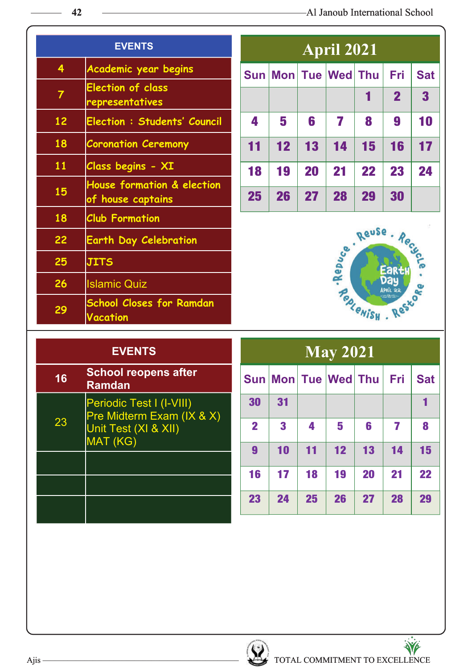|                         | <b>EVENTS</b>                                      |     |    |    | <b>April 2021</b> |                 |                |            |
|-------------------------|----------------------------------------------------|-----|----|----|-------------------|-----------------|----------------|------------|
| $\overline{\mathbf{4}}$ | Academic year begins                               | Sun |    |    | Mon Tue Wed Thu   |                 | <b>Fri</b>     | <b>Sat</b> |
| $\overline{7}$          | <b>Election of class</b><br>representatives        |     |    |    |                   | 1               | $\overline{2}$ | 3          |
| 12                      | <b>Election : Students' Council</b>                | 4   | 5  | 6  | 7                 | 8               | 9              | 10         |
| 18                      | <b>Coronation Ceremony</b>                         | 11  | 12 | 13 | 14                | 15              | 16             | 17         |
| 11                      | Class begins - XI                                  | 18  | 19 | 20 | 21                | 22              | 23             | 24         |
| 15                      | House formation & election<br>of house captains    | 25  | 26 | 27 | 28                | 29              | 30             |            |
| 18                      | <b>Club Formation</b>                              |     |    |    |                   |                 |                |            |
| 22                      | <b>Earth Day Celebration</b>                       |     |    |    |                   | Reuse - Recycle |                |            |
| 25                      | <b>JITS</b>                                        |     |    |    |                   |                 | Eart           |            |
| 26                      | <b>Islamic Quiz</b>                                |     |    |    |                   |                 | APRIL 22       |            |
| 29                      | <b>School Closes for Ramdan</b><br><b>Vacation</b> |     |    |    | Rebuce            |                 |                |            |

### **EVENTS**

| 16 | <b>School reopens after</b><br><b>Ramdan</b>                                              |
|----|-------------------------------------------------------------------------------------------|
| 23 | Periodic Test I (I-VIII)<br>Pre Midterm Exam (IX & X)<br>Unit Test (XI & XII)<br>MAT (KG) |
|    |                                                                                           |
|    |                                                                                           |
|    |                                                                                           |

| <b>May 2021</b> |          |    |                         |    |    |            |  |  |  |
|-----------------|----------|----|-------------------------|----|----|------------|--|--|--|
|                 |          |    | Sun Mon Tue Wed Thu Fri |    |    | <b>Sat</b> |  |  |  |
| 30              | 31       |    |                         |    |    |            |  |  |  |
| $\mathbf 2$     | $\bf{3}$ | 4  | 5                       | 6  | 7  | 8          |  |  |  |
| 9               | 10       | 11 | 12                      | 13 | 14 | 15         |  |  |  |
| 16              | 17       | 18 | 19                      | 20 | 21 | 22         |  |  |  |
| 23              | 24       | 25 | 26                      | 27 | 28 | 29         |  |  |  |

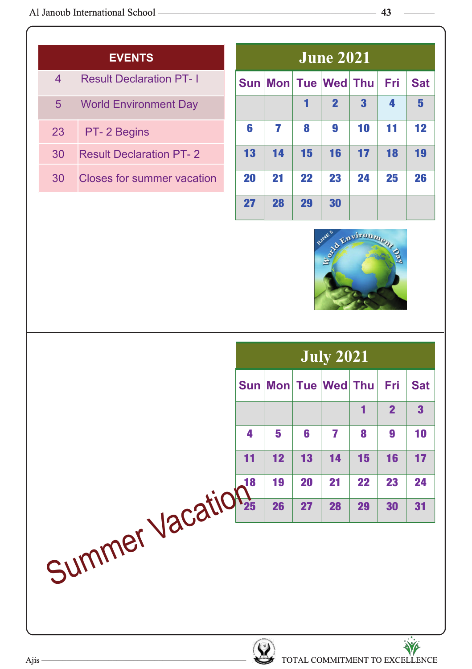|                | <b>EVENTS</b>                     |           |                             |    | <b>June 2021</b> |    |            |            |
|----------------|-----------------------------------|-----------|-----------------------------|----|------------------|----|------------|------------|
| $\overline{4}$ | <b>Result Declaration PT-1</b>    |           | Sun   Mon   Tue   Wed   Thu |    |                  |    | <b>Fri</b> | <b>Sat</b> |
| 5 <sup>5</sup> | <b>World Environment Day</b>      |           |                             |    | $\mathbf 2$      | 3  | 4          | 5          |
| 23             | PT-2 Begins                       | 6         |                             | 8  | 9                | 10 | 11         | $12 \,$    |
| 30             | <b>Result Declaration PT-2</b>    | 13        | 14                          | 15 | 16               | 17 | 18         | 19         |
| 30             | <b>Closes for summer vacation</b> | <b>20</b> | 21                          | 22 | 23               | 24 | 25         | 26         |
|                |                                   | 27        | 28                          | 29 | 30               |    |            |            |



|                  | <b>July 2021</b> |                    |    |                     |    |                |                         |
|------------------|------------------|--------------------|----|---------------------|----|----------------|-------------------------|
|                  |                  |                    |    | Sun Mon Tue Wed Thu |    | Fri            | <b>Sat</b>              |
|                  |                  |                    |    |                     | 1  | $\overline{2}$ | $\overline{\mathbf{3}}$ |
|                  | 4                | 5                  | 6  | 7                   | 8  | 9              | 10                      |
|                  | 11               | 12                 | 13 | 14                  | 15 | 16             | 17                      |
|                  |                  | 19                 | 20 | 21                  | 22 | 23             | 24                      |
|                  |                  | 26                 | 27 | 28                  | 29 | 30             | 31                      |
| Summer Vacations |                  | $\sqrt{1-\lambda}$ |    |                     |    |                | $\ddot{M}$              |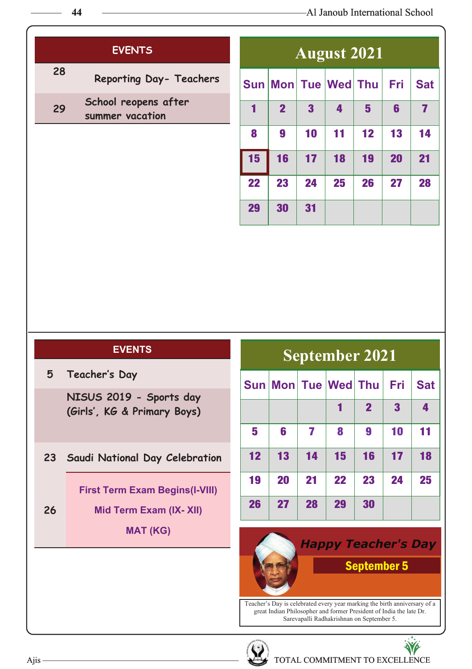|    | <b>EVENTS</b>                           |             |  |
|----|-----------------------------------------|-------------|--|
| 28 | Reporting Day- Teachers                 | Sun Mon T   |  |
| 29 | School reopens after<br>summer vacation | $\mathbf 2$ |  |
|    |                                         |             |  |

|    | <b>August 2021</b> |                         |                         |    |     |                         |  |  |  |
|----|--------------------|-------------------------|-------------------------|----|-----|-------------------------|--|--|--|
|    |                    |                         | Sun Mon Tue Wed Thu     |    | Fri | <b>Sat</b>              |  |  |  |
| 1  | $\overline{2}$     | $\overline{\mathbf{3}}$ | $\overline{\mathbf{4}}$ | 5  | 6   | $\overline{\mathbf{z}}$ |  |  |  |
| 8  | 9                  | 10                      | 11                      | 12 | 13  | 14                      |  |  |  |
| 15 | 16                 | 17                      | 18                      | 19 | 20  | 21                      |  |  |  |
| 22 | 23                 | 24                      | 25                      | 26 | 27  | 28                      |  |  |  |
| 29 | 30                 | 31                      |                         |    |     |                         |  |  |  |

| 5 | Teacher's Day |  |
|---|---------------|--|
|   |               |  |

**NISUS 2019 - Sports day (Girls', KG & Primary Boys)**

**23 Saudi National Day Celebration**

**First Term Exam Begins(I-VIII)**

**Mid Term Exam (IX- XII)**

**MAT (KG)**

**September 2021**

|    |    |    | Sun Mon Tue Wed Thu |                | Fri                     | <b>Sat</b> |
|----|----|----|---------------------|----------------|-------------------------|------------|
|    |    |    |                     | $\overline{2}$ | $\overline{\mathbf{3}}$ | 4          |
| 5  | 6  | 7  | 8                   | 9              | 10                      | 11         |
| 12 | 13 | 14 | 15                  | 16             | 17                      | 18         |
| 19 | 20 | 21 | 22                  | 23             | 24                      | 25         |
| 26 | 27 | 28 | 29                  | 30             |                         |            |

## **Happy Teacher's Day** September 5

Teacher's Day is celebrated every year marking the birth anniversary of a great Indian Philosopher and former President of India the late Dr. Sarevapalli Radhakrishnan on September 5.



**26**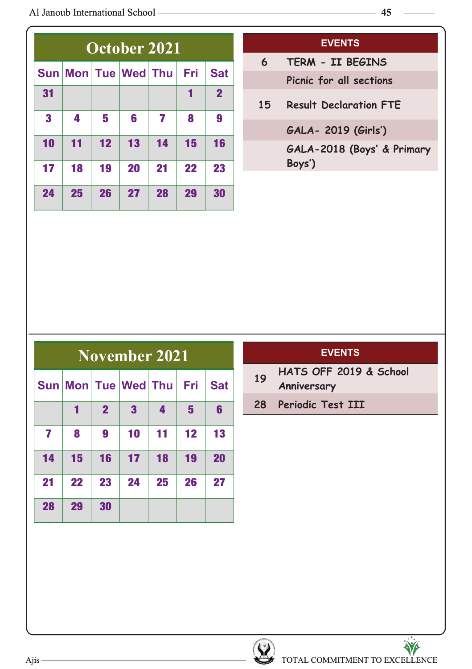|                         | October 2021 |    |                     |    |     |                |  |  |  |  |
|-------------------------|--------------|----|---------------------|----|-----|----------------|--|--|--|--|
|                         |              |    | Sun Mon Tue Wed Thu |    | Fri | <b>Sat</b>     |  |  |  |  |
| 31                      |              |    |                     |    | 1   | $\overline{2}$ |  |  |  |  |
| $\overline{\mathbf{3}}$ | 4            | 5  | 6                   | 7  | 8   | 9              |  |  |  |  |
| 10                      | 11           | 12 | 13                  | 14 | 15  | 16             |  |  |  |  |
| 17                      | 18           | 19 | 20                  | 21 | 22  | 23             |  |  |  |  |
| 24                      | 25           | 26 | 27                  | 28 | 29  | 30             |  |  |  |  |

- **6 TERM II BEGINS Picnic for all sections**
- **15 Result Declaration FTE**
	- **GALA- 2019 (Girls')**
	- **GALA-2018 (Boys' & Primary Boys')**

|    | November 2021           |                |              |    |    |            |  |  |  |  |
|----|-------------------------|----------------|--------------|----|----|------------|--|--|--|--|
|    | Sun Mon Tue Wed Thu Fri |                |              |    |    | <b>Sat</b> |  |  |  |  |
|    | 1                       | $\overline{2}$ | $\mathbf{3}$ | 4  | 5  | 6          |  |  |  |  |
| 7  | 8                       | 9              | 10           | 11 | 12 | 13         |  |  |  |  |
| 14 | 15                      | 16             | 17           | 18 | 19 | 20         |  |  |  |  |
| 21 | 22                      | 23             | 24           | 25 | 26 | 27         |  |  |  |  |
| 28 | 29                      | 30             |              |    |    |            |  |  |  |  |

#### **EVENTS**

- **<sup>19</sup> HATS OFF 2019 & School**
	- **Anniversary**
- **28 Periodic Test III**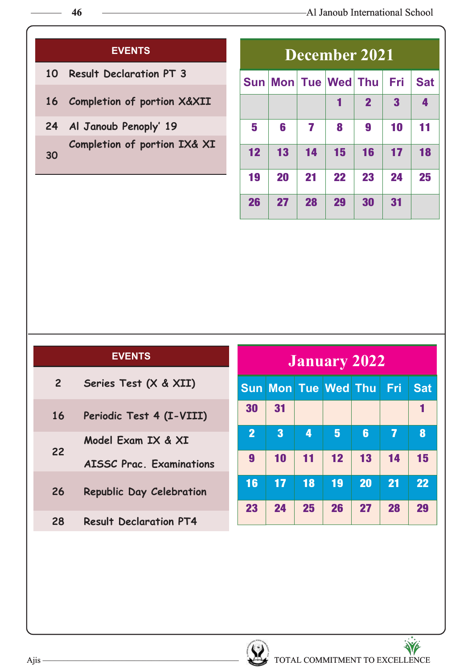- **Result Declaration PT 3**
- **Completion of portion X&XII**
- **Al Janoub Penoply' 19 Completion of portion IX& XI**

| December 2021 |    |    |                         |                |                         |            |  |  |
|---------------|----|----|-------------------------|----------------|-------------------------|------------|--|--|
|               |    |    | Sun Mon Tue Wed Thu Fri |                |                         | <b>Sat</b> |  |  |
|               |    |    | 1                       | $\overline{2}$ | $\overline{\mathbf{3}}$ | 4          |  |  |
| 5             | 6  | 7  | 8                       | 9              | 10                      | 11         |  |  |
| 12            | 13 | 14 | 15                      | 16             | 17                      | 18         |  |  |
| 19            | 20 | 21 | 22                      | 23             | 24                      | 25         |  |  |
| 26            | 27 | 28 | 29                      | 30             | 31                      |            |  |  |

#### **EVENTS**

| $\overline{2}$ | Series Test (X & XII)           |
|----------------|---------------------------------|
| 16             | Periodic Test 4 (I-VIII)        |
| 22             | Model Exam IX & XI              |
|                | <b>AISSC Prac. Examinations</b> |
| 26             | Republic Day Celebration        |
|                |                                 |

**Result Declaration PT4**

| January 2022     |                         |    |                         |    |    |            |
|------------------|-------------------------|----|-------------------------|----|----|------------|
|                  |                         |    | Sun Mon Tue Wed Thu Fri |    |    | <b>Sat</b> |
| 30               | 31                      |    |                         |    |    |            |
| $\overline{2}$   | $\overline{\mathbf{3}}$ | 4  | $5\phantom{.0}$         | 6  | 7  | 8          |
| $\boldsymbol{9}$ | 10                      | 11 | 12                      | 13 | 14 | 15         |
| 16               | 17                      | 18 | 19                      | 20 | 21 | 22         |
| 23               | 24                      | 25 | 26                      | 27 | 28 | 29         |